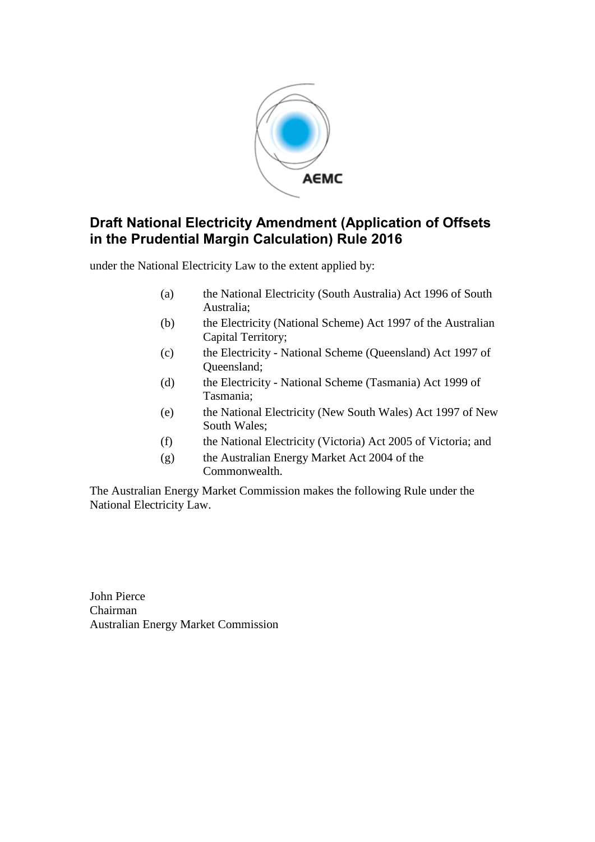

# **Draft National Electricity Amendment (Application of Offsets in the Prudential Margin Calculation) Rule 2016**

under the National Electricity Law to the extent applied by:

- (a) the National Electricity (South Australia) Act 1996 of South Australia;
- (b) the Electricity (National Scheme) Act 1997 of the Australian Capital Territory;
- (c) the Electricity National Scheme (Queensland) Act 1997 of Queensland;
- (d) the Electricity National Scheme (Tasmania) Act 1999 of Tasmania;
- (e) the National Electricity (New South Wales) Act 1997 of New South Wales;
- (f) the National Electricity (Victoria) Act 2005 of Victoria; and
- (g) the Australian Energy Market Act 2004 of the Commonwealth.

The Australian Energy Market Commission makes the following Rule under the National Electricity Law.

John Pierce Chairman Australian Energy Market Commission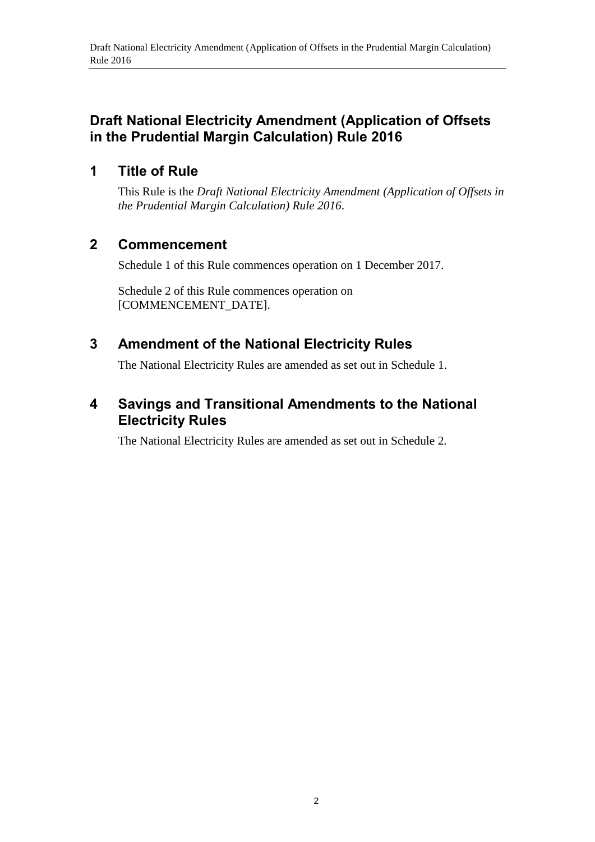#### **Draft National Electricity Amendment (Application of Offsets in the Prudential Margin Calculation) Rule 2016**

#### **1 Title of Rule**

This Rule is the *Draft National Electricity Amendment (Application of Offsets in the Prudential Margin Calculation) Rule 2016*.

#### **2 Commencement**

Schedule 1 of this Rule commences operation on 1 December 2017.

Schedule 2 of this Rule commences operation on [COMMENCEMENT\_DATE].

# <span id="page-1-0"></span>**3 Amendment of the National Electricity Rules**

The National Electricity Rules are amended as set out in [Schedule 1.](#page-2-0)

# **4 Savings and Transitional Amendments to the National Electricity Rules**

The National Electricity Rules are amended as set out in Schedule 2.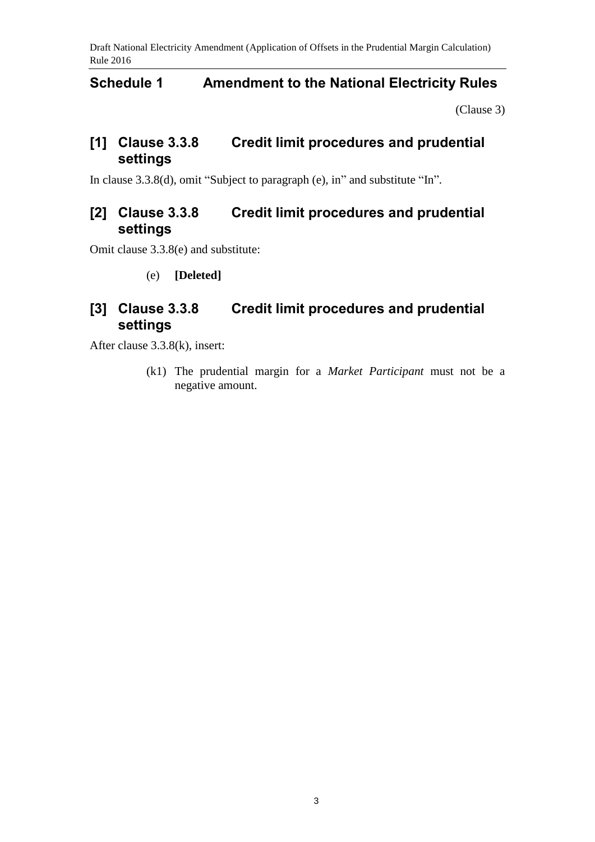Draft National Electricity Amendment (Application of Offsets in the Prudential Margin Calculation) Rule 2016

#### <span id="page-2-0"></span>**Schedule 1 Amendment to the National Electricity Rules**

[\(Clause 3\)](#page-1-0)

# **[1] Clause 3.3.8 Credit limit procedures and prudential settings**

In clause 3.3.8(d), omit "Subject to paragraph (e), in" and substitute "In".

# **[2] Clause 3.3.8 Credit limit procedures and prudential settings**

Omit clause 3.3.8(e) and substitute:

(e) **[Deleted]**

# **[3] Clause 3.3.8 Credit limit procedures and prudential settings**

After clause 3.3.8(k), insert:

(k1) The prudential margin for a *Market Participant* must not be a negative amount.